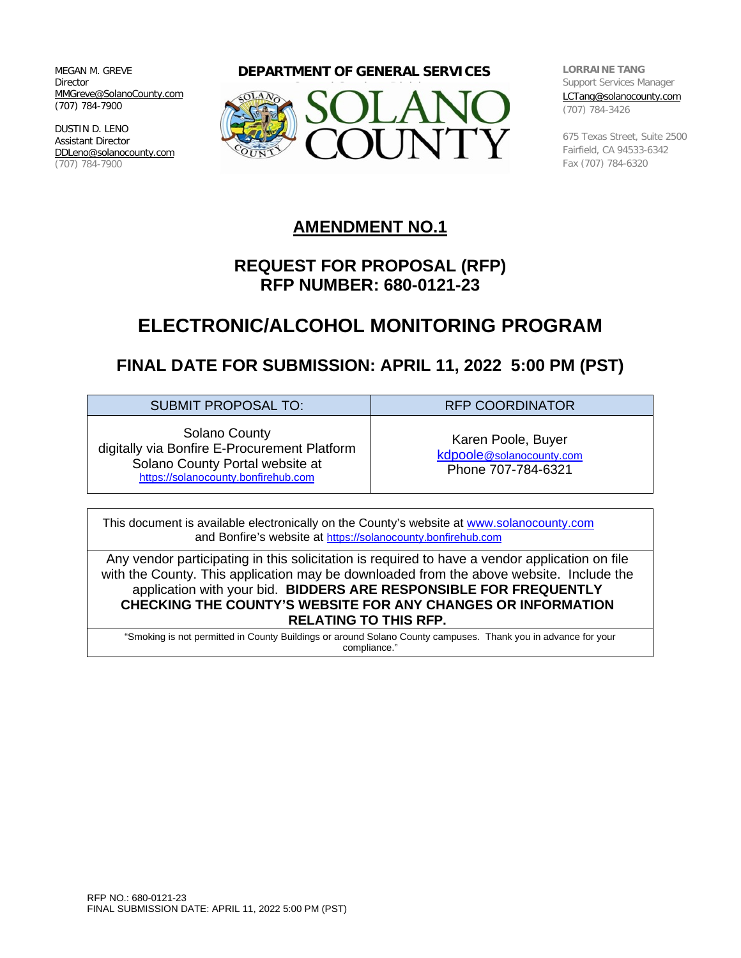MEGAN M. GREVE Director [MMGreve@SolanoCounty.com](mailto:MMGreve@SolanoCounty.com) (707) 784-7900

DUSTIN D. LENO Assistant Director [DDLeno@solanocounty.com](mailto:DDLeno@solanocounty.com) (707) 784-7900

**DEPARTMENT OF GENERAL SERVICES**



**LORRAINE TANG** Support Services Manager [LCTang@solanocounty.com](mailto:LCTang@solanocounty.com) (707) 784-3426

675 Texas Street, Suite 2500 Fairfield, CA 94533-6342 Fax (707) 784-6320

### **AMENDMENT NO.1**

## **REQUEST FOR PROPOSAL (RFP) RFP NUMBER: 680-0121-23**

# **ELECTRONIC/ALCOHOL MONITORING PROGRAM**

# **FINAL DATE FOR SUBMISSION: APRIL 11, 2022 5:00 PM (PST)**

| <b>SUBMIT PROPOSAL TO:</b>                                                                                                              | <b>RFP COORDINATOR</b>                                               |
|-----------------------------------------------------------------------------------------------------------------------------------------|----------------------------------------------------------------------|
| Solano County<br>digitally via Bonfire E-Procurement Platform<br>Solano County Portal website at<br>https://solanocounty.bonfirehub.com | Karen Poole, Buyer<br>kdpoole@solanocounty.com<br>Phone 707-784-6321 |
|                                                                                                                                         |                                                                      |

This document is available electronically on the County's website at [www.solanocounty.com](http://www.solanocounty.com/) and Bonfire's website at [https://solanocounty.bonfirehub.com](https://solanocounty.bonfirehub.com/)

Any vendor participating in this solicitation is required to have a vendor application on file with the County. This application may be downloaded from the above website. Include the application with your bid. **BIDDERS ARE RESPONSIBLE FOR FREQUENTLY CHECKING THE COUNTY'S WEBSITE FOR ANY CHANGES OR INFORMATION RELATING TO THIS RFP.**

"Smoking is not permitted in County Buildings or around Solano County campuses. Thank you in advance for your compliance."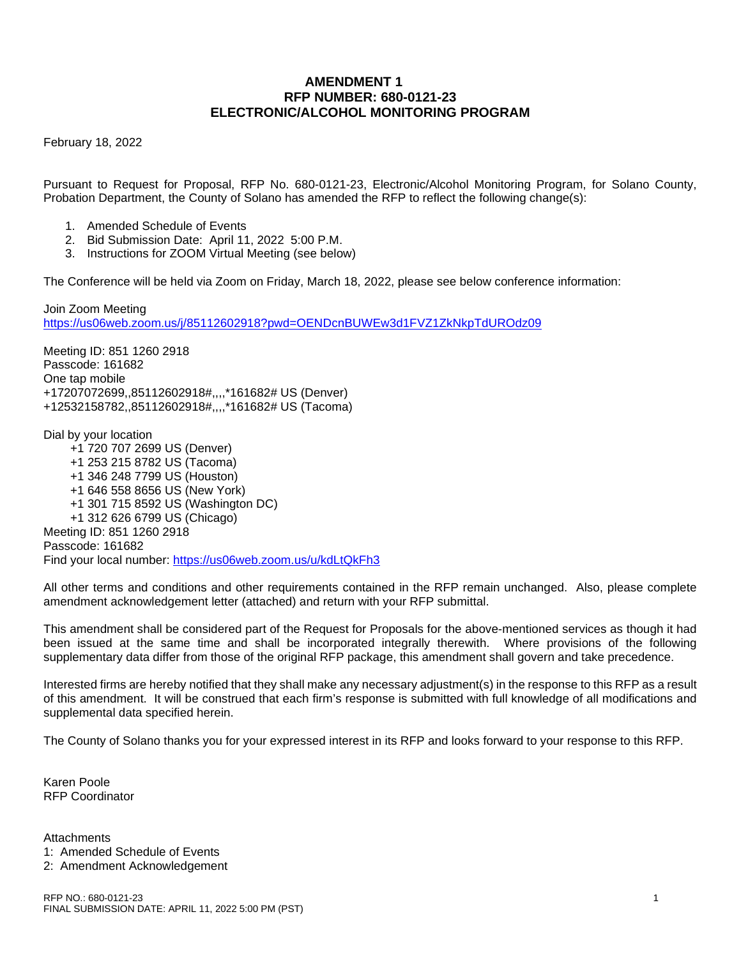### **AMENDMENT 1 RFP NUMBER: 680-0121-23 ELECTRONIC/ALCOHOL MONITORING PROGRAM**

February 18, 2022

Pursuant to Request for Proposal, RFP No. 680-0121-23, Electronic/Alcohol Monitoring Program, for Solano County, Probation Department, the County of Solano has amended the RFP to reflect the following change(s):

- 1. Amended Schedule of Events
- 2. Bid Submission Date: April 11, 2022 5:00 P.M.
- 3. Instructions for ZOOM Virtual Meeting (see below)

The Conference will be held via Zoom on Friday, March 18, 2022, please see below conference information:

Join Zoom Meeting [https://us06web.zoom.us/j/85112602918?pwd=OENDcnBUWEw3d1FVZ1ZkNkpTdUROdz09](https://gcc02.safelinks.protection.outlook.com/?url=https%3A%2F%2Fus06web.zoom.us%2Fj%2F85112602918%3Fpwd%3DOENDcnBUWEw3d1FVZ1ZkNkpTdUROdz09&data=04%7C01%7C%7C40da579c43d848bf9f7808d9f24359f0%7C5e7f20ace5f14f838c3bce44b8486421%7C0%7C0%7C637807193351368566%7CUnknown%7CTWFpbGZsb3d8eyJWIjoiMC4wLjAwMDAiLCJQIjoiV2luMzIiLCJBTiI6Ik1haWwiLCJXVCI6Mn0%3D%7C3000&sdata=9iBP81HIVgQ11skhd%2B%2Fu1gTF6ECTWonWm6tyuq6HBtc%3D&reserved=0)

Meeting ID: 851 1260 2918 Passcode: 161682 One tap mobile +17207072699,,85112602918#,,,,\*161682# US (Denver) +12532158782,,85112602918#,,,,\*161682# US (Tacoma)

Dial by your location

 +1 720 707 2699 US (Denver) +1 253 215 8782 US (Tacoma) +1 346 248 7799 US (Houston) +1 646 558 8656 US (New York) +1 301 715 8592 US (Washington DC) +1 312 626 6799 US (Chicago) Meeting ID: 851 1260 2918 Passcode: 161682 Find your local number: [https://us06web.zoom.us/u/kdLtQkFh3](https://gcc02.safelinks.protection.outlook.com/?url=https%3A%2F%2Fus06web.zoom.us%2Fu%2FkdLtQkFh3&data=04%7C01%7C%7C40da579c43d848bf9f7808d9f24359f0%7C5e7f20ace5f14f838c3bce44b8486421%7C0%7C0%7C637807193351368566%7CUnknown%7CTWFpbGZsb3d8eyJWIjoiMC4wLjAwMDAiLCJQIjoiV2luMzIiLCJBTiI6Ik1haWwiLCJXVCI6Mn0%3D%7C3000&sdata=5%2Bwsjg0lGSnPn9NBM4xEYo6HgzvUSafAe7dai8%2F%2Bmkg%3D&reserved=0)

All other terms and conditions and other requirements contained in the RFP remain unchanged. Also, please complete amendment acknowledgement letter (attached) and return with your RFP submittal.

This amendment shall be considered part of the Request for Proposals for the above-mentioned services as though it had been issued at the same time and shall be incorporated integrally therewith. Where provisions of the following supplementary data differ from those of the original RFP package, this amendment shall govern and take precedence.

Interested firms are hereby notified that they shall make any necessary adjustment(s) in the response to this RFP as a result of this amendment. It will be construed that each firm's response is submitted with full knowledge of all modifications and supplemental data specified herein.

The County of Solano thanks you for your expressed interest in its RFP and looks forward to your response to this RFP.

Karen Poole RFP Coordinator

**Attachments** 

- 1: Amended Schedule of Events
- 2: Amendment Acknowledgement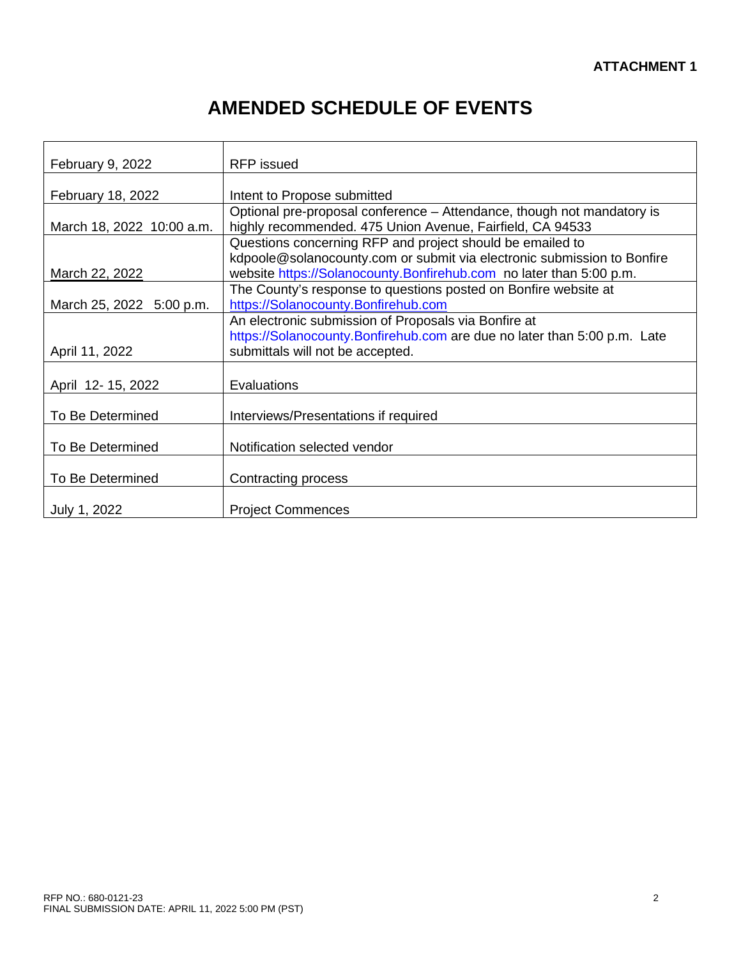# **AMENDED SCHEDULE OF EVENTS**

| February 9, 2022          | <b>RFP</b> issued                                                                                                                              |
|---------------------------|------------------------------------------------------------------------------------------------------------------------------------------------|
|                           |                                                                                                                                                |
| February 18, 2022         | Intent to Propose submitted                                                                                                                    |
| March 18, 2022 10:00 a.m. | Optional pre-proposal conference - Attendance, though not mandatory is<br>highly recommended. 475 Union Avenue, Fairfield, CA 94533            |
|                           | Questions concerning RFP and project should be emailed to                                                                                      |
| March 22, 2022            | kdpoole@solanocounty.com or submit via electronic submission to Bonfire<br>website https://Solanocounty.Bonfirehub.com no later than 5:00 p.m. |
|                           | The County's response to questions posted on Bonfire website at                                                                                |
| March 25, 2022 5:00 p.m.  | https://Solanocounty.Bonfirehub.com                                                                                                            |
|                           | An electronic submission of Proposals via Bonfire at                                                                                           |
|                           | https://Solanocounty.Bonfirehub.com are due no later than 5:00 p.m. Late                                                                       |
| April 11, 2022            | submittals will not be accepted.                                                                                                               |
| April 12-15, 2022         | Evaluations                                                                                                                                    |
| To Be Determined          | Interviews/Presentations if required                                                                                                           |
| To Be Determined          | Notification selected vendor                                                                                                                   |
| To Be Determined          | Contracting process                                                                                                                            |
| July 1, 2022              | <b>Project Commences</b>                                                                                                                       |